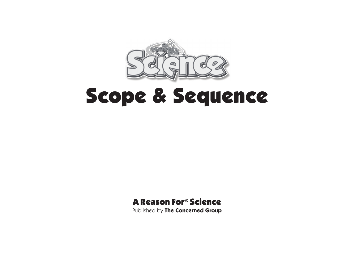

# Scope & Sequence

# A Reason For® Science

Published by **The Concerned Group**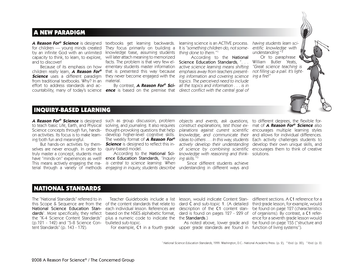### A NEW PARADIGM

**A Reason For® Science** is designed textbooks get learning backwards. for children — young minds created by an infinite God with an unlimited knowledge base, assuming students thing done to them."1 capacity to think, to learn, to explore, will later attach meaning to memorized and to discover!

 children really learn, **A Reason For®** that is presented this way because **Science** uses a different paradigm they never become engaged with the from traditional textbooks. Why? In an material. effort to address standards and accountability, many of today's science **ence** is based on the premise that direct conflict with the central goal of

 Because of its emphasis on how ementary students master information They focus primarily on building a facts. The problem is that very few el-

learning science is an ACTIVE process. having students learn sci-It is "something children do, not some-

 By contrast, **A Reason For® Sci-** all the topics and information . . . is in According to the National Science Education Standards, "... active science learning means shifting emphasis away from teachers present- not filling up a pail. It's lighting information and covering science ing a fire!"topics. The perceived need to include



 Or to paraphrase William Butler Yeats, "Great science teaching is

#### INQUIRY-BASED LEARNING

to teach basic Life, Earth, and Physical solving, and journaling. It also requires Science concepts through fun, hands- thought-provoking questions that help on activities. Its focus is to make learning both fun and meaningful.

selves are never enough. In order to quiry-based model. truly master a concept, students must terial through a variety of methods engaging*in inquiry, students describe* understanding in different ways and

**A Reason For® Science** is designed such as group discussion, problem But hands-on activities by them-**Science** is designed to reflect this in develop higher-level cognitive skills. The weekly format of **A Reason For®**

have "minds-on" experiences as well! **ence Education Standards,** "Inquiry ing skills."<sup>3</sup> This means actively engaging the ma- *is central to science learning. When* 

According to the National Sci- knowledge with reasoning and think- solutions. objects and events, ask questions, to different degrees, the flexible for construct explanations, test those ex-mat of **A Reason For® Science** also planations against current scientific encourages multiple learning styles knowledge, and communicate their and allows for individual differences. ideas to others . . . In this way, students Each activity challenges students to actively develop their understanding develop their own unique skills, and of science by combining scientific encourages them to think of creative

Since different students achieve

## NATIONAL STANDARDS

The "National Standards" referred to in dards<sup>1</sup>. More specifically, they reflect the "K-4 Science Content Standards" (p.121 - 142) and "5-8 Science Con-bulleted sub-topic. tent Standards" (p. 143 - 172).

 this Scope & Sequence are from the of the content standards that relate to dard C and sub-topic 1. (A detailed third grade lesson, for example, would National Science Education Stan- each individual lesson. References are description of the C1 content stan- be found on page 127 (characteristics Teacher Guidebooks include a list lesson, would indicate Content Stan-different sections. A C1 reference for a based on the NSES alphabetic format, dard is found on pages 127 - 229 of  $\,$  of organisms). By contrast, a <code>C1</code> referplus a numeric code to indicate the the **Standards**.)

For example, C1 in a fourth grade upper grade standards are found in function of living systems").

 As noted above, lower grade and be found on page 155 ("structure and ence for a seventh grade lesson would

1 National Science Education Standards, 1999. Washington, D.C.: National Academy Press. (p. 2); <sup>2</sup> Ibid. (p. 20); <sup>3</sup> Ibid. (p. 2)